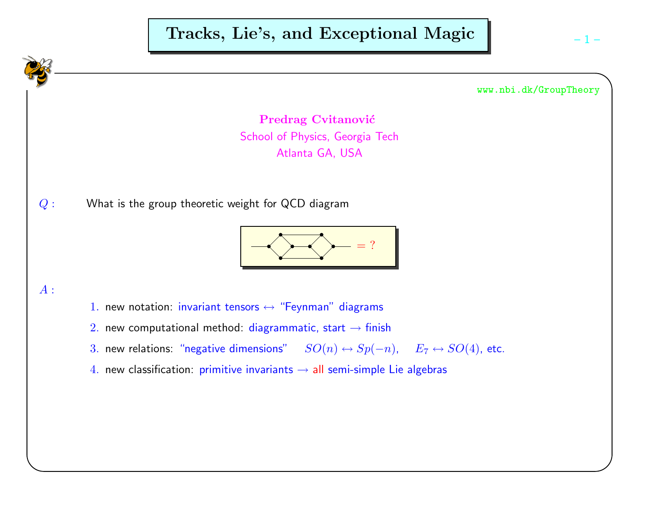# Tracks, Lie's, and Exceptional Magic

www.nbi.dk/GroupTheory

Predrag Cvitanović School of Physics, Georgia TechAtlanta GA, USA

 $Q:$ What is the group theoretic weight for QCD diagram



# $A$  :

- $1.$  new notation: invariant tensors  $\leftrightarrow$  "Feynman" diagrams
- $2.$  new computational method: diagrammatic, start  $\rightarrow$  finish
- 3. new relations: "negative dimensions"  $SO(n) \leftrightarrow Sp(-n)$ ,  $E_7 \leftrightarrow SO(4)$ , etc.
- $4.$  new classification: primitive invariants  $\rightarrow$  all semi-simple Lie algebras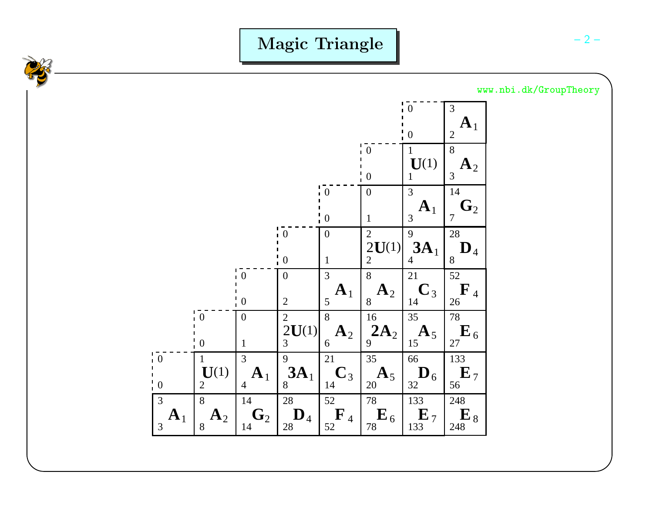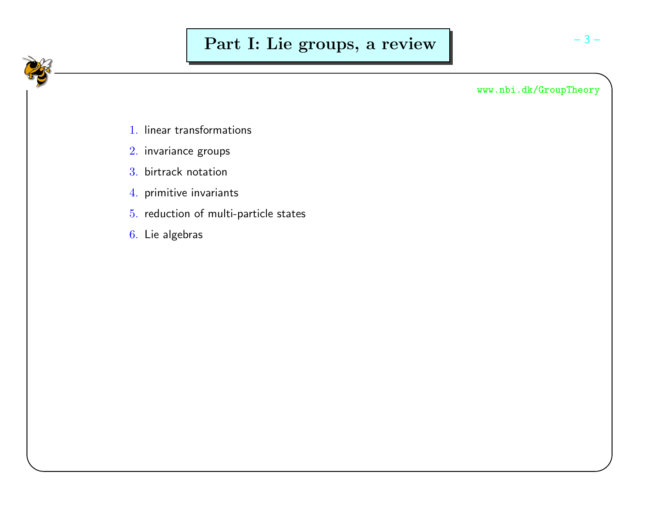- $1. \,$  linear transformations
- $2\!\!$  invariance groups
- 3. birtrack notation
- $4. \,$  primitive invariants
- 5. reduction of multi-particle states
- $6. \,$  Lie algebras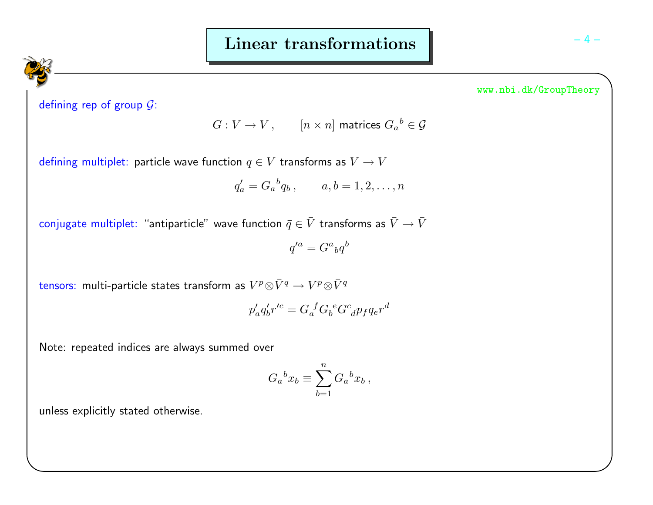defining rep of group  $\mathcal G$ :

$$
G: V \to V, \qquad [n \times n] \text{ matrices } G_a^b \in \mathcal{G}
$$

defining multiplet: particle wave function  $q \in V$  transforms as  $V \to V$ 

$$
q'_a = G_a{}^b q_b
$$
,  $a, b = 1, 2, ..., n$ 

conjugate multiplet: "antiparticle" wave function  $\bar{q}\in\bar{V}$  transforms as  $\bar{V}\rightarrow\bar{V}$ 

 $q'^a = G^a{}_b q^b$ 

tensors: multi-particle states transform as  $V^p\otimes \bar{V}^q \rightarrow V^p\otimes \bar{V}^q$ 

$$
p'_a q'_b r'^c = G_a^{\ \ f} G_b^{\ e} G^c_{\ \ d} p_f q_e r^d
$$

Note: repeated indices are always summed over

$$
G_a{}^b x_b \equiv \sum_{b=1}^n G_a{}^b x_b \,,
$$

unless explicitly stated otherwise.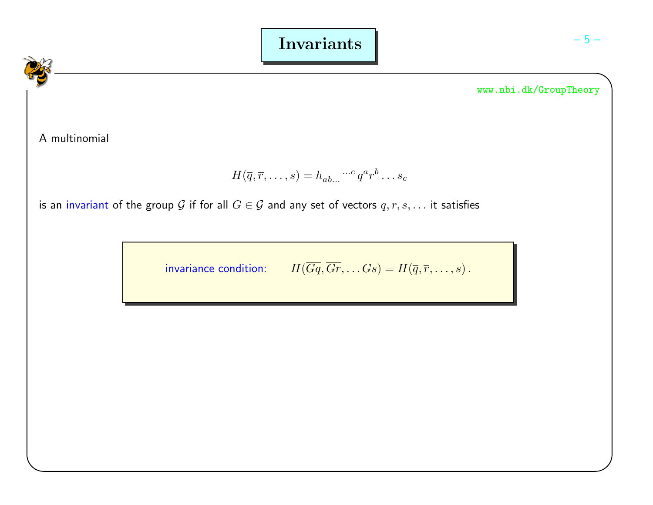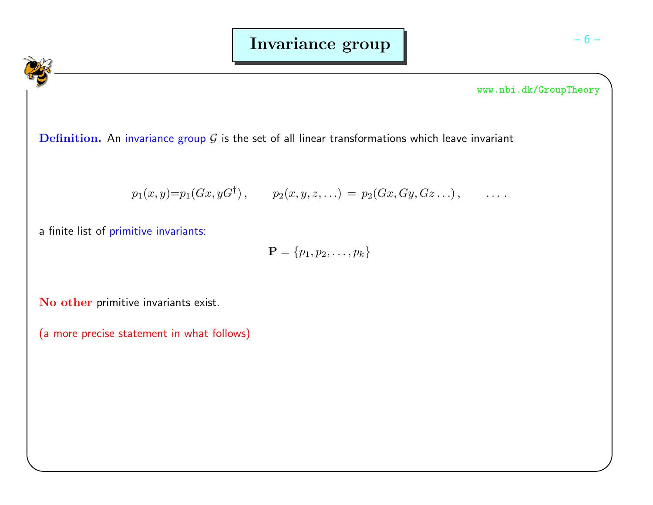$\mathbf D$ efi $\mathbf n$ ition. An invariance group  $\mathcal G$  is the set of all linear transformations which leave invariant

$$
p_1(x, \bar{y}) = p_1(Gx, \bar{y}G^{\dagger}),
$$
  $p_2(x, y, z, ...)= p_2(Gx, Gy, Gz...),$  ...

a finite list of primitive invariants:

 ${\bf P} = \{p_1, p_2, \ldots, p_k\}$ 

 $\mathbf N$ o ot $\mathbf h$ er primitive invariants exist.

(a more precise statement in what follows)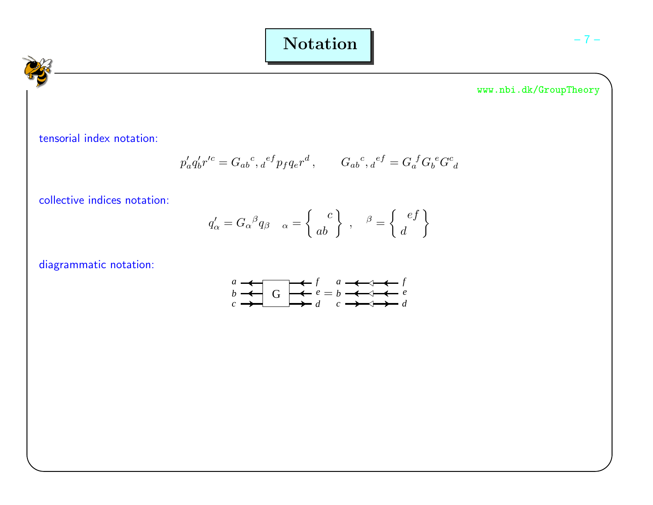Notation

www.nbi.dk/GroupTheory

tensorial index notation:

$$
p'_a q'_b r'^c = G_{ab}{}^c,{}_d{}^{ef} p_f q_e r^d, \qquad G_{ab}{}^c,{}_d{}^{ef} = G_a{}^f G_b{}^e G^c{}_d
$$

collective indices notation:

$$
q'_{\alpha} = G_{\alpha}{}^{\beta}q_{\beta} \quad_{\alpha} = \begin{Bmatrix} c \\ ab \end{Bmatrix}, \quad \beta = \begin{Bmatrix} ef \\ d \end{Bmatrix}
$$

diagrammatic notation:

$$
\begin{array}{ccc}\na & \xrightarrow{} & f & a & \xrightarrow{} & f \\
b & \xrightarrow{} & G & \xrightarrow{} & e = b & \xrightarrow{} & & & e \\
c & \xrightarrow{} & d & c & \xrightarrow{} & & & d\n\end{array}
$$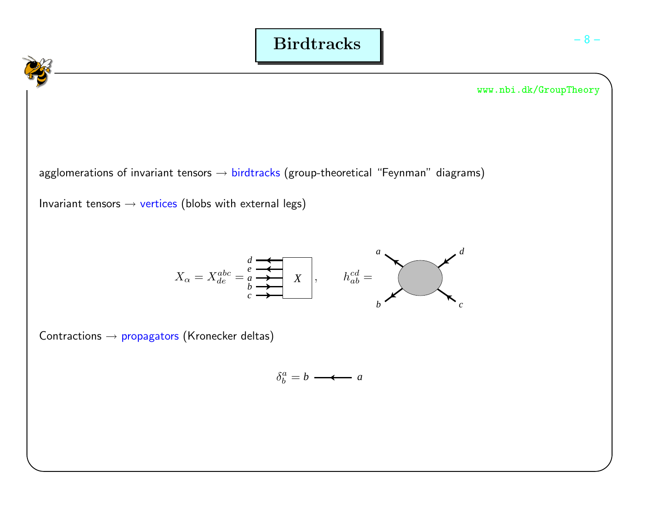



 $\mathsf{agg}$ lomerations of invariant tensors  $\rightarrow$  birdtracks (group-theoretical "Feynman" diagrams)

Invariant tensors  $\rightarrow$  vertices (blobs with external legs)

$$
X_{\alpha} = X_{de}^{abc} = \begin{matrix} \frac{d}{e} & \frac{1}{e} \\ \frac{1}{e} & \frac{1}{e} \\ \frac{1}{e} & \frac{1}{e} \end{matrix}, \qquad h_{ab}^{cd} = \begin{matrix} a \\ b \end{matrix}
$$

 $\mathsf{Contractions} \to \mathsf{propagators}\ (\mathsf{Kronecker}\ \mathsf{delta})$ 

$$
\delta_b^a = b \longrightarrow a
$$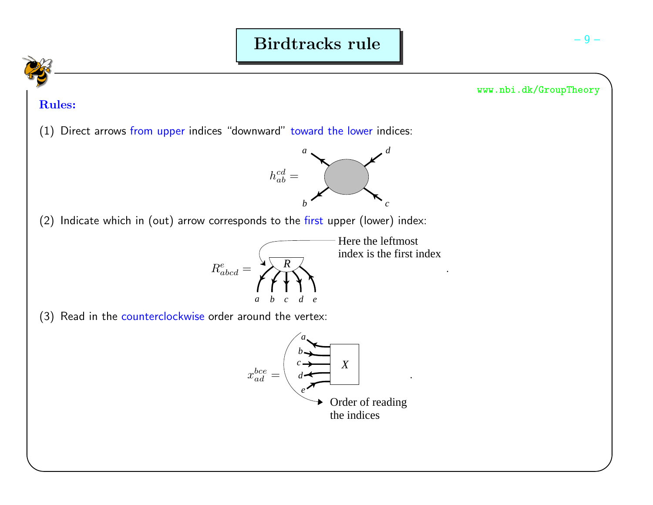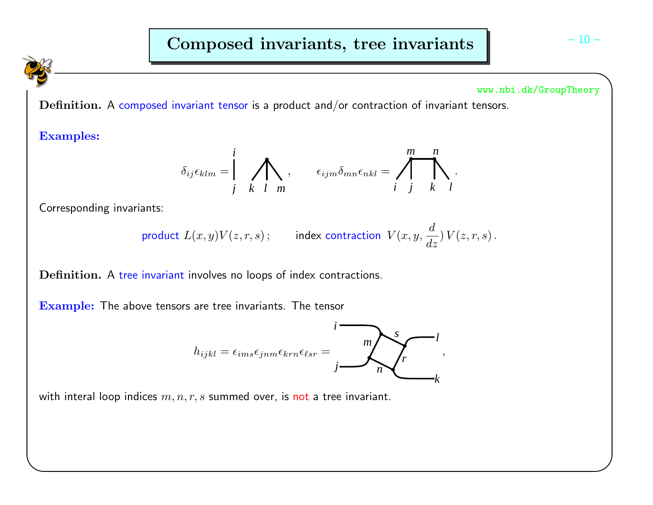# Composed invariants, tree invariants

#### www.nbi.dk/GroupTheory

 ${\bf Definition.}$  A composed invariant tensor is a product and/or contraction of invariant tensors.

Examples:

$$
\delta_{ij}\epsilon_{klm}=\int\limits_{j}^{i}\sum\limits_{k\ l\ m}\ ,\qquad \epsilon_{ijm}\delta_{mn}\epsilon_{nkl}=\int\limits_{i}^{m}\int\limits_{j}^{n}\ .
$$

Corresponding invariants:

product 
$$
L(x, y)V(z, r, s)
$$
; index contraction  $V(x, y, \frac{d}{dz})V(z, r, s)$ .

 $\bf{Definition.}$  A tree invariant involves no loops of index contractions.

 $\mathbf{Example:}$  The above tensors are tree invariants. The tensor

$$
h_{ijkl} = \epsilon_{ims}\epsilon_{jnm}\epsilon_{krn}\epsilon_{lsr} = \frac{m}{j}\sqrt{\frac{s}{n}}\sqrt{\frac{l}{k}},
$$

with interal loop indices  $m,n,r,s$  summed over, is <mark>not</mark> a tree invariant.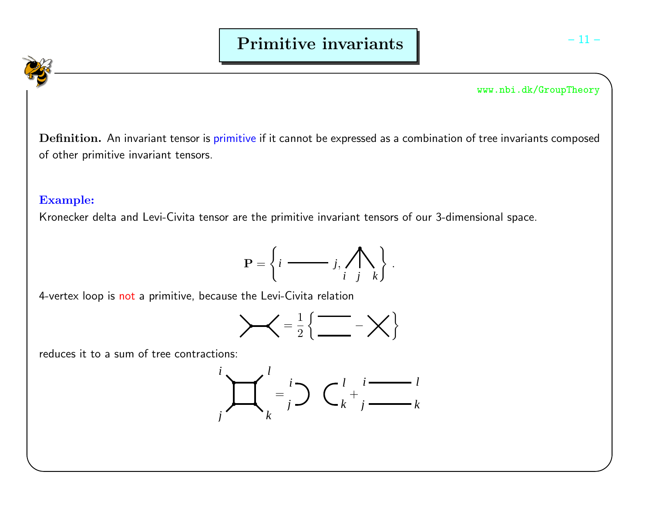$\bf Definition.$  An invariant tensor is primitive if it cannot be expressed as a combination of tree invariants composed of other primitive invariant tensors.

# Example:

Kronecker delta and Levi-Civita tensor are the primitive invariant tensors of our 3-dimensional space.



4-vertex loop is <mark>not</mark> a primitive, because the Levi-Civita relation

$$
\left.\begin{array}{c}\right.
$$

reduces it to <sup>a</sup> sum of tree contractions:

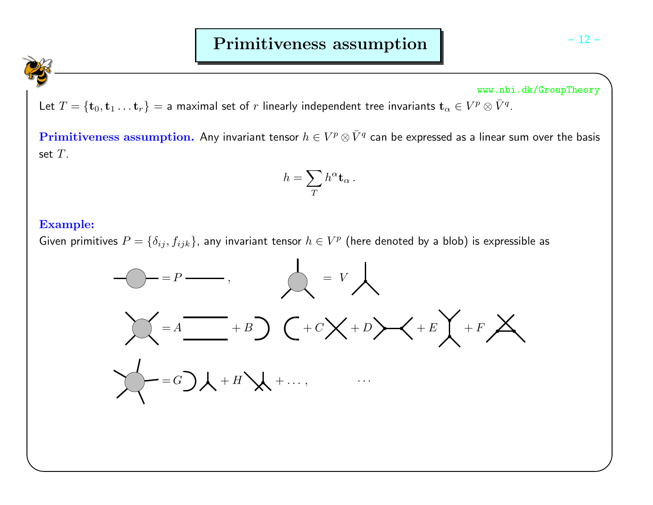Let  $T=\{\mathbf{t}_0,\mathbf{t}_1 \dots \mathbf{t}_r\}=$  a maximal set of  $r$  linearly independent tree invariants  $\mathbf{t}_\alpha \in V^p\otimes \bar{V}^q$ .

 $\textbf{Primitiveness assumption.}$  Any invariant tensor  $h\in V^{p}\otimes\bar{V}^{q}$  can be expressed as a linear sum over the basis set  $T$ .

$$
h=\sum_{T}h^{\alpha}\mathbf{t}_{\alpha}~.
$$

#### Example:

Given primitives  $P=\{\delta_{ij},f_{ijk}\}$ , any invariant tensor  $h\in V^p$  (here denoted by a blob) is expressible as

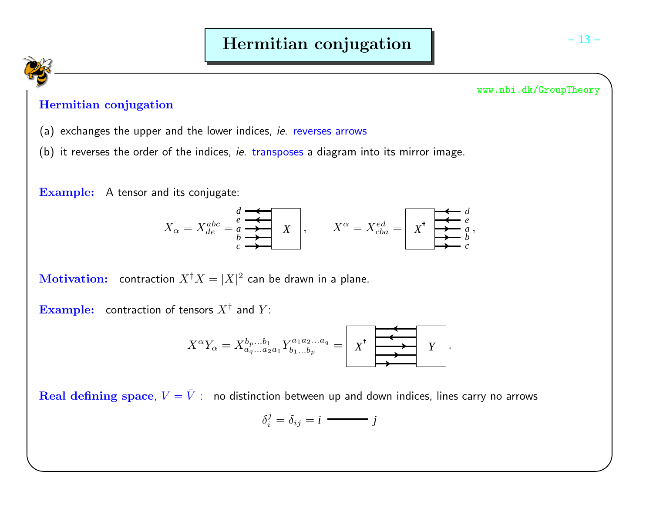

# Hermitian conjugation

- (a) exchanges the upper and the lower indices, *ie.* reverses arrows
- (b) it reverses the order of the indices, *ie.* transposes a diagram into its mirror image.

 ${\bf Example:} \quad$  A tensor and its conjugate:

$$
X_{\alpha} = X_{de}^{abc} = \begin{matrix} \overline{e} & \overline{\overline{e}} & \overline{\overline{e}} \\ \overline{e} & \overline{\overline{e}} & \overline{\overline{e}} \\ \overline{e} & \overline{\overline{e}} & \overline{\overline{e}} \end{matrix}, \qquad X^{\alpha} = X_{cba}^{ed} = \begin{matrix} \overline{\overline{e}} & \overline{e} & \overline{e} \\ \overline{X}^{*} & \overline{e} & \overline{e} \\ \overline{X}^{*} & \overline{e} & \overline{e} \end{matrix}
$$

 ${\bf Motivation:} \quad {\bf contraction} \; X^\dagger X = |X|^2 \; {\bf can} \; {\bf be} \; {\bf drawn} \; {\bf in} \; {\bf a} \; {\bf plane}.$ 

 $\bf{Example:} \quad$  contraction of tensors  $X^\dagger$  and  $Y$ :

X<sup>α</sup>Yα <sup>=</sup> <sup>X</sup>bp...b<sup>1</sup> <sup>a</sup>q...a2a<sup>1</sup> <sup>Y</sup> <sup>a</sup>1a2...a<sup>q</sup> <sup>b</sup>1...b<sup>p</sup> <sup>=</sup>*<sup>X</sup> <sup>Y</sup>* .

 $\bf{Real \, defining \, space}, \, V = \bar{V}: \,\,\,$  no distinction between up and down indices, lines carry no arrows

$$
\delta_i^j = \delta_{ij} = i \longrightarrow j
$$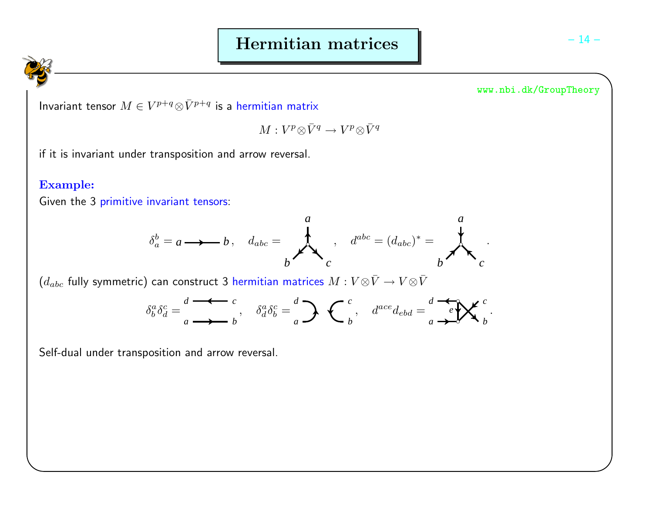Invariant tensor  $M\in V^{p+q}\otimes \bar{V}^{p+q}$  is a hermitian matrix

$$
M: V^p\!\otimes\!\bar V^q\to V^p\!\otimes\!\bar V^q
$$

if it is invariant under transposition and arrow reversal.

## Example:

Given the 3 primitive invariant tensors:

$$
\delta_a^b = a \longrightarrow b, \quad d_{abc} = \n\begin{matrix}\n\downarrow & & a \\
\downarrow & & & \\
b & & c\n\end{matrix}, \quad d^{abc} = (d_{abc})^* = \n\begin{matrix}\na \\
b\n\end{matrix}.
$$

 $(d_{abc}$  fully symmetric) can construct 3 hermitian matrices  $M:V{\otimes} \bar V\to V{\otimes} \bar V$ 

$$
\delta^a_b \delta^c_d = \frac{d}{a} \longrightarrow b, \quad \delta^a_d \delta^c_b = \frac{d}{a} \longrightarrow c, \quad d^{ace} d_{ebd} = \frac{d}{a} \longrightarrow c, \quad d^{b} d_{ebd} = \frac{d}{a} \longrightarrow d
$$

Self-dual under transposition and arrow reversal.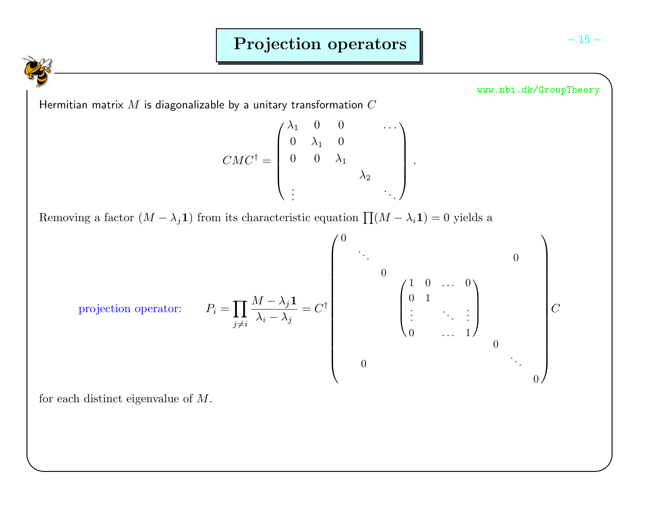Hermitian matrix  $M$  is diagonalizable by a unitary transformation  $C$ 

$$
CMC^{\dagger} = \begin{pmatrix} \lambda_1 & 0 & 0 & & & \cdots \\ 0 & \lambda_1 & 0 & & & \\ 0 & 0 & \lambda_1 & & & \\ & & & & \lambda_2 & \\ \vdots & & & & & \ddots \end{pmatrix}.
$$

Removing a factor  $(M - \lambda_j \mathbf{1})$  from its characteristic equation  $\prod (M - \lambda_i \mathbf{1}) = 0$  yields a

projection operator: 
$$
P_i = \prod_{j \neq i} \frac{M - \lambda_j \mathbf{1}}{\lambda_i - \lambda_j} = C^{\dagger} \begin{pmatrix} 0 & & & & & & 0 \\ & \ddots & & & & & 0 \\ & & 0 & & & & 0 \\ \vdots & & \ddots & \vdots & \\ 0 & & \cdots & 1 & & 0 \\ & & & & & & 0 \end{pmatrix} C
$$

for each distinct eigenvalue of  $M$ .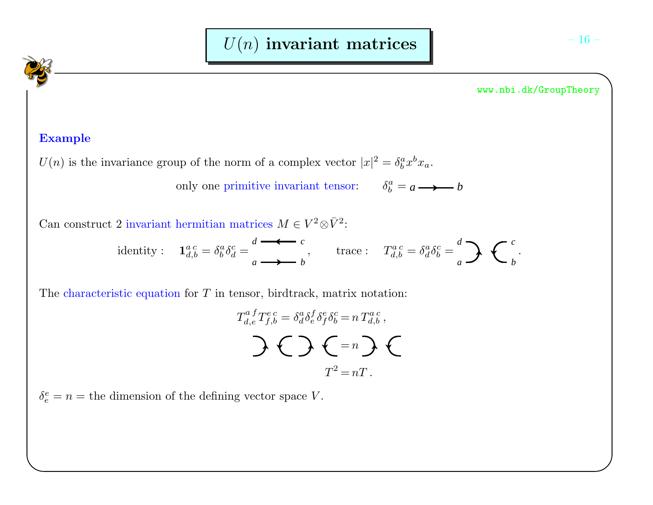# Example

 $U(n)$  is the invariance group of the norm of a complex vector  $|x|^2 = \delta_b^a x^b x_a$ .

only one primitive invariant tensor:  $\delta_b^a = a \longrightarrow b$ 

Can construct 2 invariant hermitian matrices  $M \in V^2 \otimes \bar{V}^2$ :

identity :  $\mathbf{1}_{d,b}^{a,c} = \delta_b^a \delta_d^c = \sum_{a \longrightarrow b}^{a} b$  $T_{d,b}^{a} = \leftarrow c$ , trace :  $T_{d,b}^{a,c} = \delta_d^a \delta_b^c = \frac{d}{c}$  $a \rightarrow b$  $\longrightarrow$   $\leftarrow$   $\cdot$ 

The characteristic equation for  $T$  in tensor, birdtrack, matrix notation:

$$
T_{d,e}^{a}T_{f,b}^{e c} = \delta_a^a \delta_e^f \delta_f^e \delta_b^c = n T_{d,b}^{a c},
$$
  

$$
\sum T^2 = nT.
$$

 $\delta_e^e = n =$  the dimension of the defining vector space V.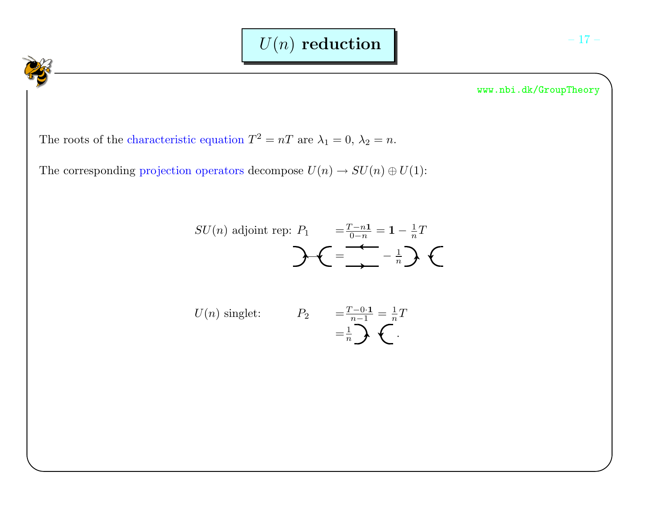The roots of the characteristic equation  $T^2 = nT$  are  $\lambda_1 = 0$ ,  $\lambda_2 = n$ .

The corresponding projection operators decompose  $U(n) \to SU(n) \oplus U(1)$ :

$$
SU(n) \text{ adjoint rep: } P_1 = \frac{T - n\mathbf{1}}{0 - n} = \mathbf{1} - \frac{1}{n}T
$$

$$
U(n) \text{ singlet:} \qquad P_2 \qquad = \frac{T - 0 \cdot 1}{n - 1} = \frac{1}{n} T
$$

$$
= \frac{1}{n} \sum_{n=1}^{\infty} \sum_{n=1}^{\infty} \frac{1}{n}
$$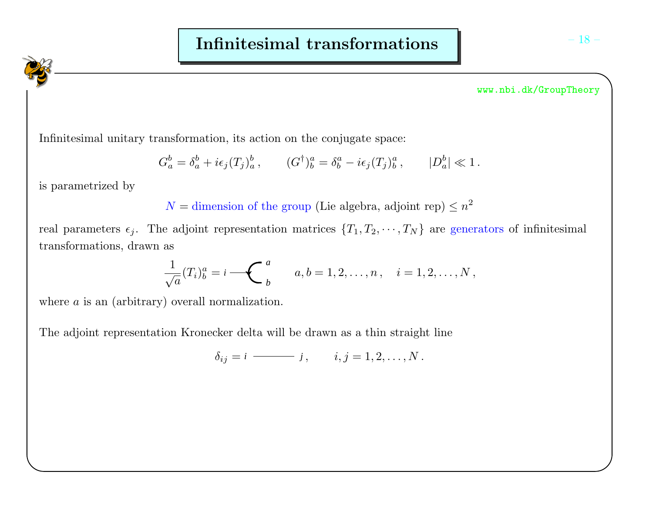Infinitesimal unitary transformation, its action on the conjugate space:

$$
G_a^b = \delta_a^b + i\epsilon_j(T_j)_a^b
$$
,  $(G^{\dagger})_b^a = \delta_b^a - i\epsilon_j(T_j)_b^a$ ,  $|D_a^b| \ll 1$ .

is parametrized by

 $N =$  dimension of the group (Lie algebra, adjoint rep)  $\leq n^2$ 

real parameters  $\epsilon_j$ . The adjoint representation matrices  $\{T_1, T_2, \dots, T_N\}$  are generators of infinitesimal transformations, drawn as

$$
\frac{1}{\sqrt{a}}(T_i)^a_b = i \sum_{b}^{a} a, b = 1, 2, \dots, n, \quad i = 1, 2, \dots, N,
$$

where  $a$  is an (arbitrary) overall normalization.

The adjoint representation Kronecker delta will be drawn as <sup>a</sup> thin straight line

$$
\delta_{ij}=i \quad \text{and} \quad j, \quad i,j=1,2,\ldots,N\,.
$$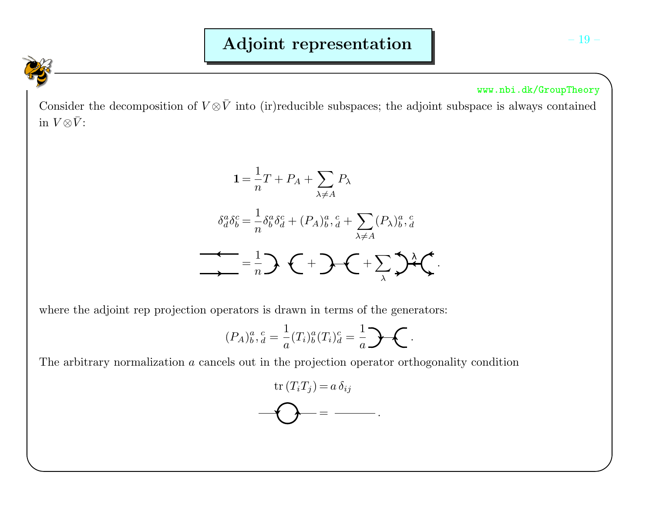Consider the decomposition of  $V \otimes \bar{V}$  into (ir)reducible subspaces; the adjoint subspace is always contained in  $V \otimes \bar{V}$ :

$$
1 = \frac{1}{n}T + P_A + \sum_{\lambda \neq A} P_{\lambda}
$$

$$
\delta_d^a \delta_b^c = \frac{1}{n} \delta_b^a \delta_d^c + (P_A)_{b}^a, \frac{c}{d} + \sum_{\lambda \neq A} (P_\lambda)_{b}^a, \frac{c}{d}
$$

$$
\longrightarrow = \frac{1}{n} \sum \left(1 + \sum_{\lambda} \sum_{\lambda} \delta_{\lambda}^a \right).
$$

where the adjoint rep projection operators is drawn in terms of the generators:

$$
(P_A)^{a}_{b},^{c}_{d} = \frac{1}{a}(T_i)^{a}_{b}(T_i)^{c}_{d} = \frac{1}{a} \mathbf{P} \mathbf{C}.
$$

The arbitrary normalization <sup>a</sup> cancels out in the projection operator orthogonality condition

$$
\mathop{\bf tr}\nolimits(T_iT_j) = a \,\delta_{ij}
$$
\n
$$
\mathop{\bf \bigodot}_{i=1}^{n-1} a \mathop{\bf e}_{ij}
$$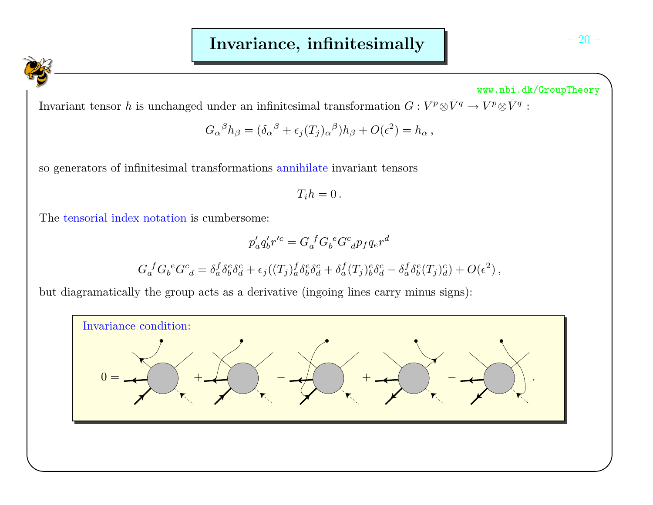Invariant tensor h is unchanged under an infinitesimal transformation  $G: V^p \otimes \bar{V}^q \to V^p \otimes \bar{V}^q$ :

$$
G_{\alpha}{}^{\beta}h_{\beta} = (\delta_{\alpha}{}^{\beta} + \epsilon_j(T_j)_{\alpha}{}^{\beta})h_{\beta} + O(\epsilon^2) = h_{\alpha},
$$

so generators of infinitesimal transformations annihilate invariant tensors

$$
T_i h = 0\,.
$$

The tensorial index notation is cumbersome:

$$
p'_a q'_b r'^c = G_a^f G_b^e G^c_{d} p_f q_e r^d
$$
  

$$
G_a^f G_b^e G^c_{d} = \delta_a^f \delta_b^e \delta_d^c + \epsilon_j ((T_j)^f_a \delta_b^e \delta_d^c + \delta_a^f (T_j)^e_b \delta_d^c - \delta_a^f \delta_b^e (T_j)^c_d) + O(\epsilon^2),
$$

but diagramatically the group acts as <sup>a</sup> derivative (ingoing lines carry minus signs):

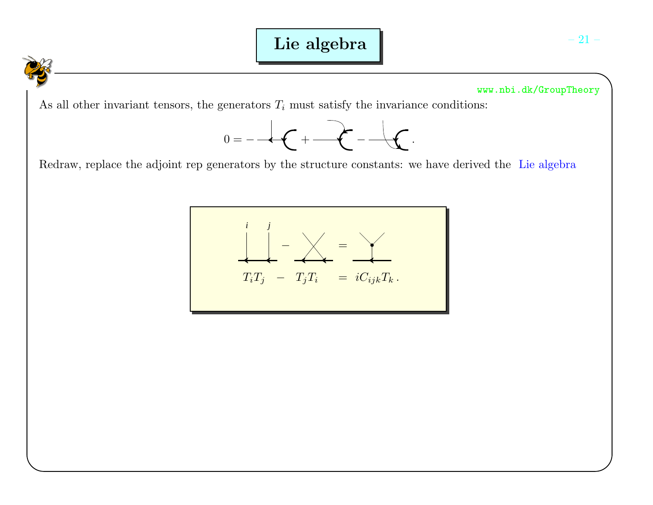# Lie algebra

www.nbi.dk/GroupTheory

As all other invariant tensors, the generators  $T_i$  must satisfy the invariance conditions:



Redraw, replace the adjoint rep generators by the structure constants: we have derived the Lie algebra

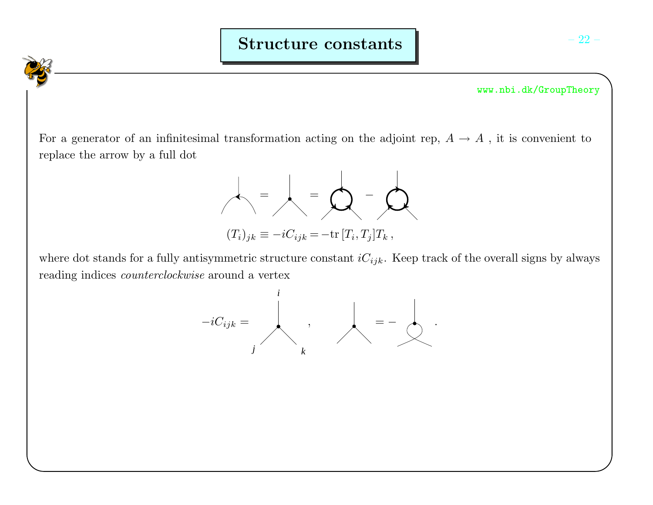For a generator of an infinitesimal transformation acting on the adjoint rep,  $A \to A$ , it is convenient to replace the arrow by <sup>a</sup> full dot



where dot stands for a fully antisymmetric structure constant  $iC_{ijk}$ . Keep track of the overall signs by always reading indices *counterclockwise* around a vertex

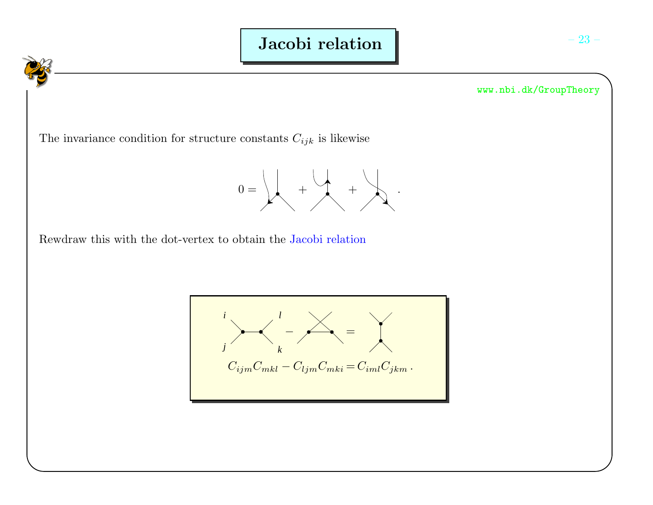

The invariance condition for structure constants  $C_{ijk}$  is likewise



Rewdraw this with the dot-vertex to obtain the Jacobi relation

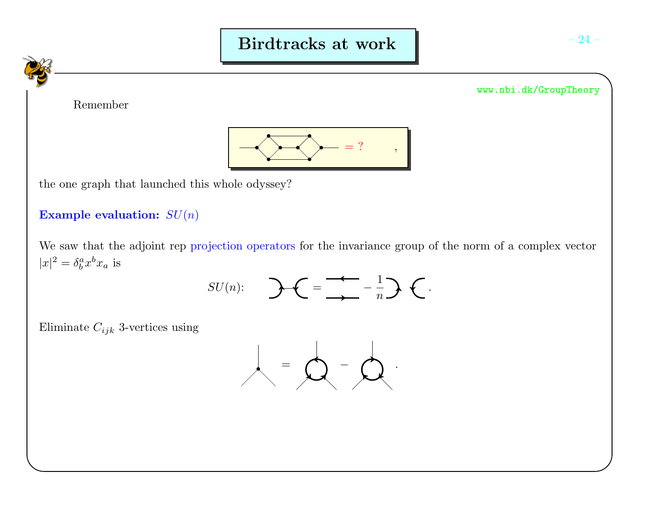

 $|x|^2 = \delta_b^a x^b x_a$  is

 $SU(n)$ :  $\qquad \qquad \mathbf{C} = \frac{1}{\sqrt{2}} - \frac{1}{n} \mathbf{C}$ .

Eliminate  $C_{ijk}$  3-vertices using

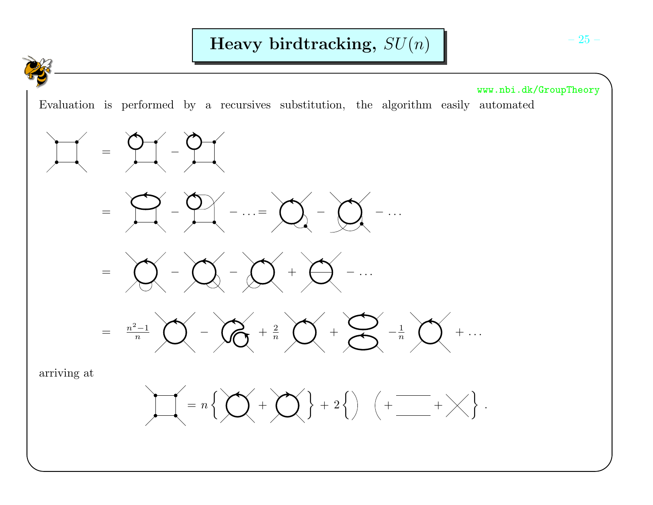



$$
~=~\bigotimes\left(-\bigotimes\left(-\bigotimes\left(-\bigotimes\left(-\bigotimes\right)^{m-1}\right)\bigotimes\right)^{m-1}\right)
$$



arriving at

=

 $\overline{\phantom{a}}$ 

 $-\zeta$ 

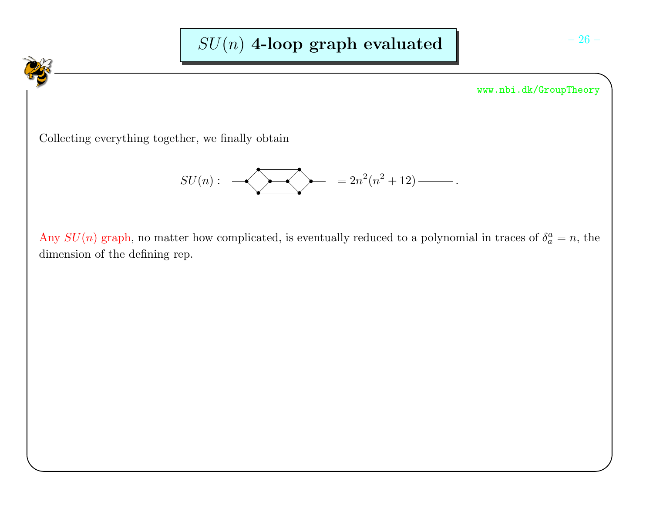Collecting everything together, we finally obtain

$$
SU(n): \quad \longrightarrow \quad \qquad \longrightarrow \qquad \qquad = 2n^2(n^2+12)\ \longrightarrow.
$$

Any  $SU(n)$  graph, no matter how complicated, is eventually reduced to a polynomial in traces of  $\delta_a^a = n$ , the dimension of the defining rep.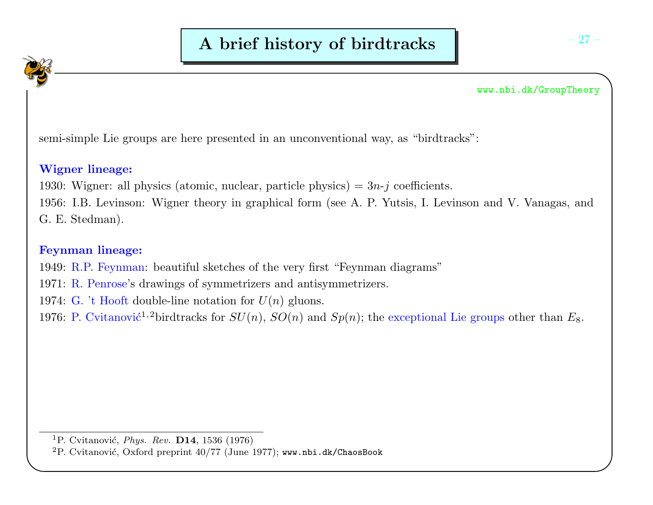semi-simple Lie groups are here presented in an unconventional way, as "birdtracks":

# Wigner lineage:

1930: Wigner: all physics (atomic, nuclear, particle physics) =  $3n-j$  coefficients.

1956: I.B. Levinson: Wigner theory in graphical form (see A. P. Yutsis, I. Levinson and V. Vanagas, andG. E. Stedman).

# Feynman lineage:

1949: R.P. Feynman: beautiful sketches of the very first "Feynman diagrams"

1971: R. Penrose's drawings of symmetrizers and antisymmetrizers.

1974: G. 't Hooft double-line notation for  $U(n)$  gluons.

1976: P. Cvitanović<sup>1,2</sup>birdtracks for  $SU(n)$ ,  $SO(n)$  and  $Sp(n)$ ; the exceptional Lie groups other than  $E_8$ .

 $^1$ P. Cvitanović, *Phys. Rev.* **D14**, 1536 (1976)

 $\rm ^2P.$  Cvitanović, Oxford preprint 40/77 (June 1977); www.nbi.dk/ChaosBook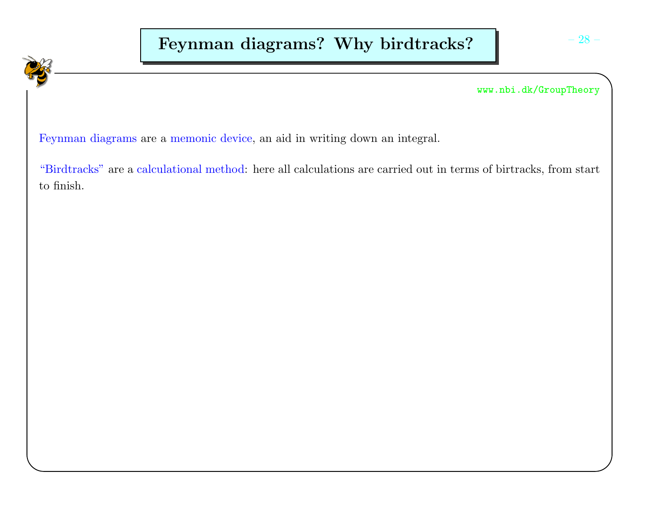Feynman diagrams are <sup>a</sup> memonic device, an aid in writing down an integral.

"Birdtracks" are <sup>a</sup> calculational method: here all calculations are carried out in terms of birtracks, from start to finish.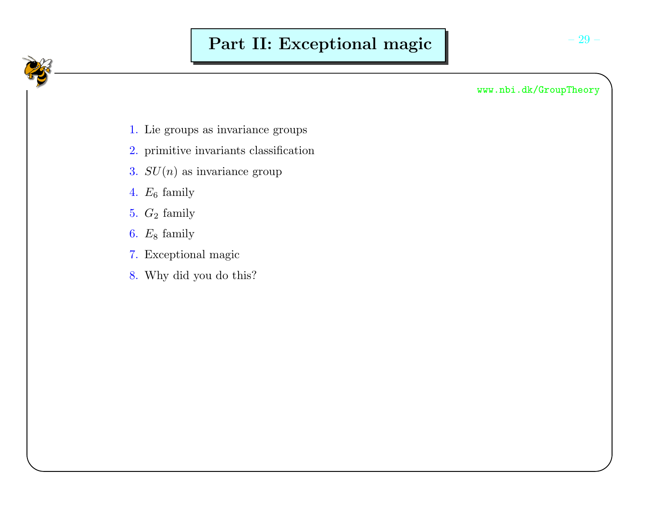- 1. Lie groups as invariance groups
- 2. primitive invariants classification
- 3.  $SU(n)$  as invariance group
- 4.  $E_6$  family
- 5.  $G_2$  family
- 6.  $E_8$  family
- 7. Exceptional magic
- 8. Why did you do this?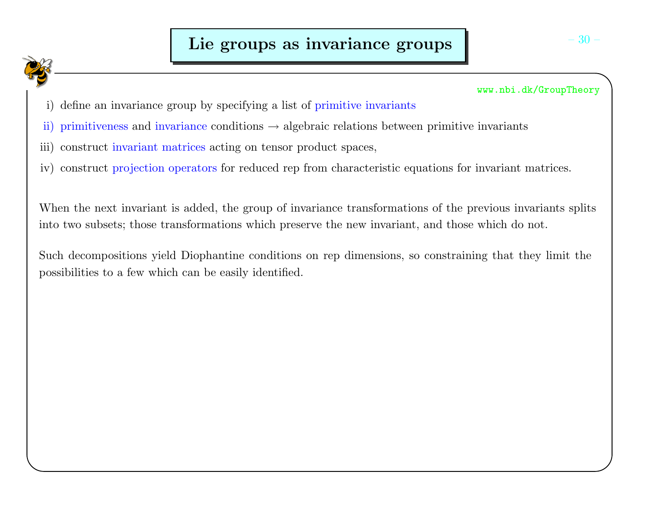

- i) define an invariance group by specifying <sup>a</sup> list of primitive invariants
- ii) primitiveness and invariance conditions  $\rightarrow$  algebraic relations between primitive invariants
- iii) construct invariant matrices acting on tensor product spaces,
- iv) construct projection operators for reduced rep from characteristic equations for invariant matrices.

When the next invariant is added, the group of invariance transformations of the previous invariants splits into two subsets; those transformations which preserve the new invariant, and those which do not.

Such decompositions <sup>y</sup>ield Diophantine conditions on rep dimensions, so constraining that they limit thepossibilities to <sup>a</sup> few which can be easily identified.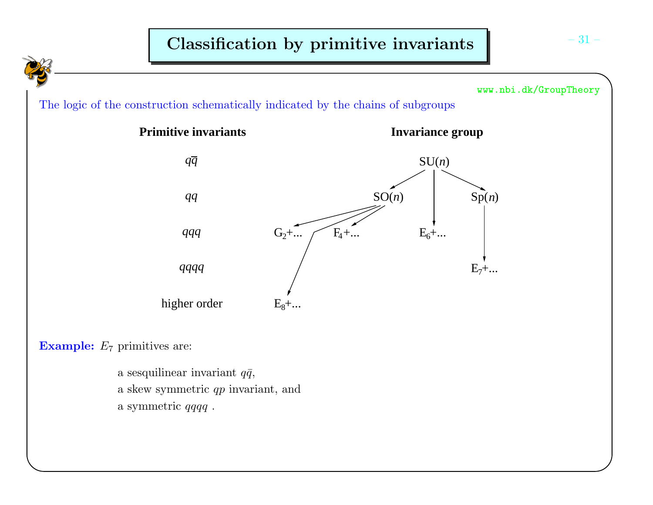

a sesquilinear invariant  $q\bar{q}$ , a skew symmetric  $qp$  invariant, and <sup>a</sup> symmetric qqqq .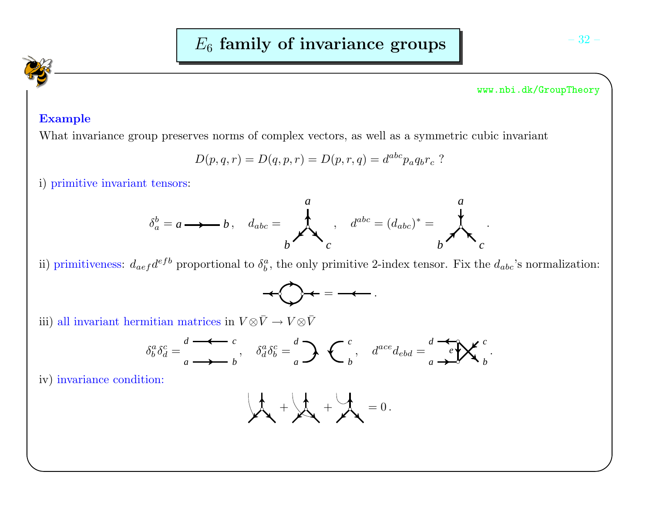# Example

What invariance group preserves norms of complex vectors, as well as <sup>a</sup> symmetric cubic invariant

$$
D(p, q, r) = D(q, p, r) = D(p, r, q) = d^{abc} p_a q_b r_c
$$
?

i) primitive invariant tensors:

$$
\delta_a^b = a \longrightarrow b, \quad d_{abc} = \n\begin{matrix}\na \\
\downarrow \\
b\n\end{matrix}, \quad d^{abc} = (d_{abc})^* = \n\begin{matrix}\na \\
\downarrow \\
b\n\end{matrix}.
$$

ii) primitiveness:  $d_{aef}d^{efb}$  proportional to  $\delta^a_b$ , the only primitive 2-index tensor. Fix the  $d_{abc}$ 's normalization:



iii) all invariant hermitian matrices in  $V \otimes \bar{V} \to V \otimes \bar{V}$ 

$$
\delta_b^a \delta_d^c = \frac{d}{a} \stackrel{\bullet}{\longrightarrow} \frac{c}{b}, \quad \delta_d^a \delta_b^c = \frac{d}{a} \sum \left\{ \begin{array}{cc} c \\ b \end{array}, \quad d^{ace} d_{ebd} = \frac{d}{a} \stackrel{\bullet}{\longrightarrow} \mathbf{K}^c \end{array}
$$

iv) invariance condition:

$$
\mu_{\text{max}} + \mu_{\text{max}} + \mu_{\text{max}} = 0.
$$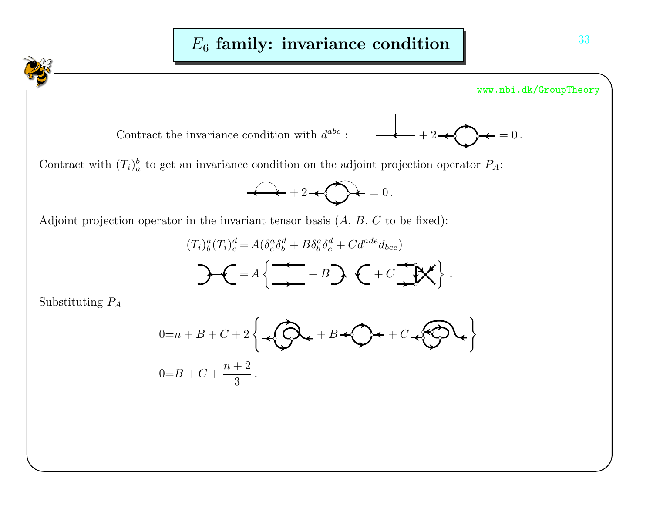



Contract with  $(T_i)_{a}^{b}$  to get an invariance condition on the adjoint projection operator  $P_A$ :

$$
2 + 2 + \bigcirc f = 0.
$$

Adjoint projection operator in the invariant tensor basis  $(A, B, C$  to be fixed):

$$
(T_i)_b^a (T_i)_c^d = A \left( \delta_c^a \delta_b^d + B \delta_b^a \delta_c^d + C d^{ade} d_{bce} \right)
$$

$$
A = A \left\{ \stackrel{\longrightarrow}{\longrightarrow} \begin{matrix} \uparrow & \downarrow \\ \downarrow & \downarrow \end{matrix} \right\}.
$$

Substituting  $P_A$ 

$$
0=n+B+C+2\left\{\bigoplus_{i=1}^{n}C_{i}+B+\bigodot_{i}C_{i}+C_{i}\bigodot C_{i}\right\}
$$
  

$$
0=B+C+\frac{n+2}{3}.
$$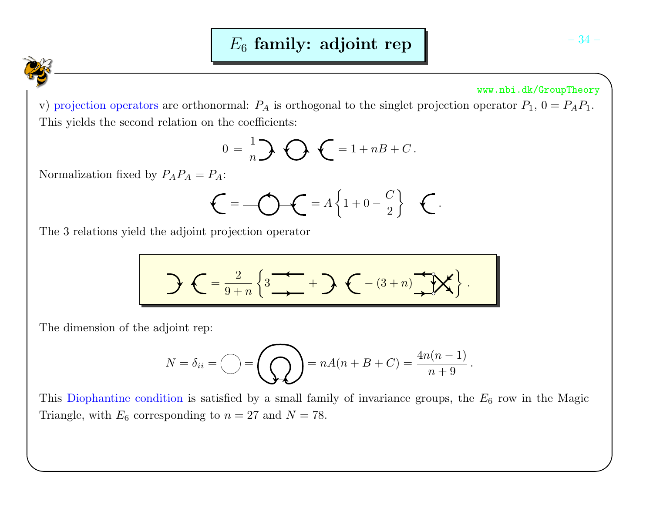v) projection operators are orthonormal:  $P_A$  is orthogonal to the singlet projection operator  $P_1$ ,  $0 = P_A P_1$ . This <sup>y</sup>ields the second relation on the coefficients:

$$
0 = \frac{1}{n} \sum \bigodot \bigodot = 1 + nB + C.
$$

Normalization fixed by  $P_A P_A = P_A$ :

$$
\mathcal{L} = \mathcal{L} = A\left\{1 + 0 - \frac{C}{2}\right\} - \mathcal{L}.
$$

The 3 relations yield the adjoint projection operator

$$
\mathcal{L} = \frac{2}{9+n} \left\{ 3 \xrightarrow{+} + \mathcal{L} - (3+n) \xrightarrow{+} \mathcal{N} \right\}.
$$

The dimension of the adjoint rep:

$$
N = \delta_{ii} = \bigcirc \bigcirc = \bigcirc \bigcirc = nA(n + B + C) = \frac{4n(n-1)}{n+9}.
$$

This Diophantine condition is satisfied by a small family of invariance groups, the  $E_6$  row in the Magic Triangle, with  $E_6$  corresponding to  $n = 27$  and  $N = 78$ .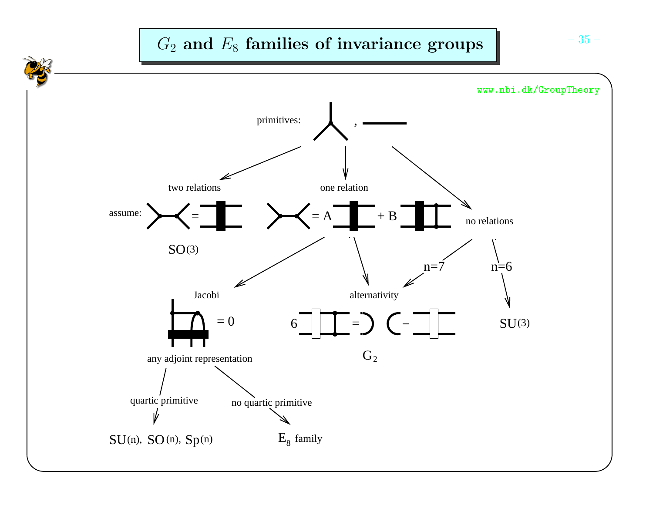# $G_2$  and  $E_8$  families of invariance groups  $\begin{bmatrix} -35 & -1 \end{bmatrix}$

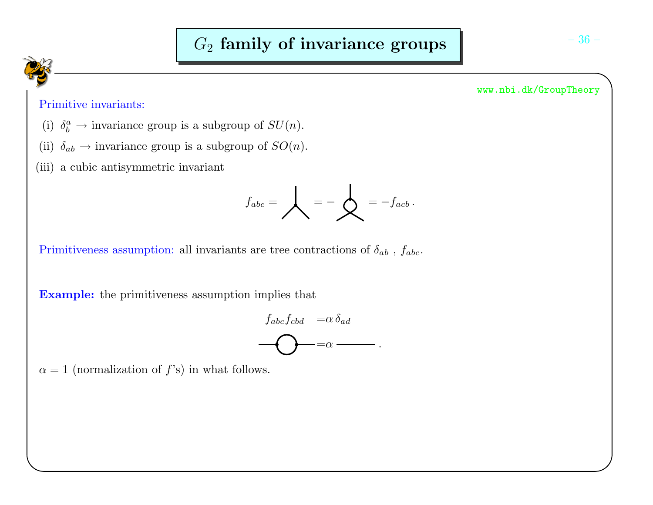# Primitive invariants:

- (i)  $\delta_b^a \to \text{invariance group}$  is a subgroup of  $SU(n)$ .
- (ii)  $\delta_{ab} \rightarrow$  invariance group is a subgroup of  $SO(n)$ .
- (iii) <sup>a</sup> cubic antisymmetric invariant

$$
f_{abc} = \bigvee = - \bigotimes = - f_{acb}.
$$

Primitiveness assumption: all invariants are tree contractions of  $\delta_{ab}$  ,  $f_{abc}$ .

**Example:** the primitiveness assumption implies that

$$
f_{abc}f_{cbd} = \alpha \delta_{ad}
$$
  
 
$$
\longrightarrow = \alpha \longrightarrow
$$

 $\alpha = 1$  (normalization of  $f$ 's) in what follows.

#### www.nbi.dk/GroupTheory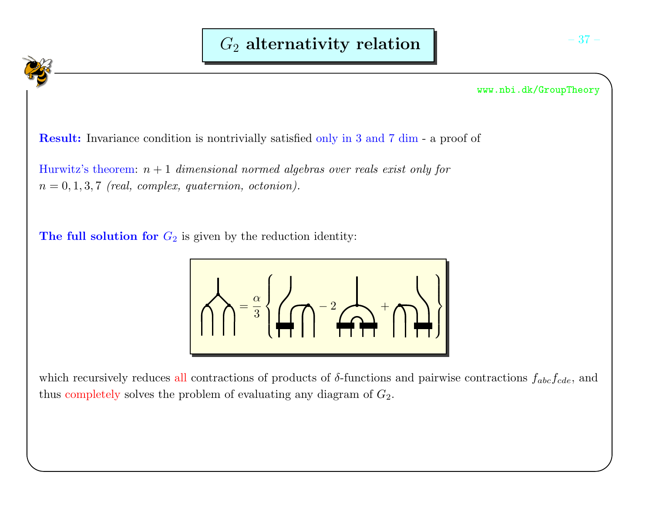**Result:** Invariance condition is nontrivially satisfied only in 3 and 7 dim - a proof of

 $\text{Hurwitz's theorem: } n+1 \ \textit{dimensional normed algebras over reals exist only for}$  $n = 0, 1, 3, 7$  (real, complex, quaternion, octonion).

The full solution for  $G_2$  is given by the reduction identity:



which recursively reduces all contractions of products of  $\delta$ -functions and pairwise contractions  $f_{abc}f_{cde}$ , and thus completely solves the problem of evaluating any diagram of  $G_2$ .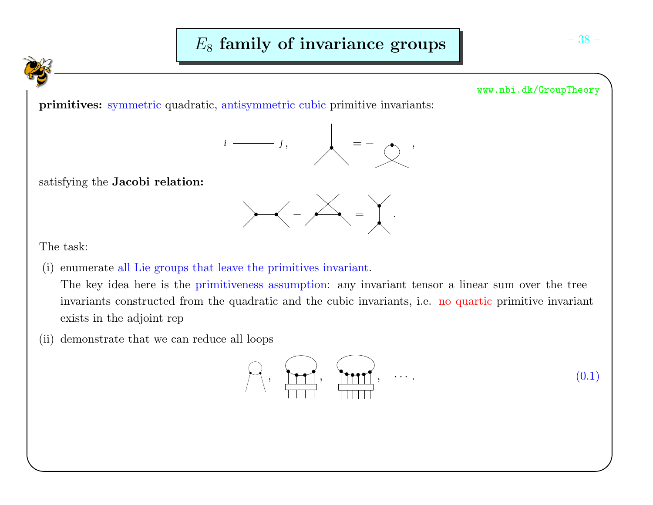primitives: symmetric quadratic, antisymmetric cubic primitive invariants:



satisfying the **Jacobi relation:** 



The task:

(i) enumerate all Lie groups that leave the primitives invariant.

The key idea here is the primitiveness assumption: any invariant tensor <sup>a</sup> linear sum over the treeinvariants constructed from the quadratic and the cubic invariants, i.e. no quartic primitive invariant exists in the adjoint rep

(ii) demonstrate that we can reduce all loops

$$
\bigcap_{i=1}^{n} \left\{ \bigcap_{i=1}^{n} \left\{ \bigcap_{i=1}^{n} \left\{ \bigcap_{i=1}^{n} \left\{ \bigcap_{i=1}^{n} \left\{ \bigcap_{i=1}^{n} \left\{ \bigcap_{i=1}^{n} \left\{ \bigcap_{i=1}^{n} \left\{ \bigcap_{i=1}^{n} \left\{ \bigcap_{i=1}^{n} \left\{ \bigcap_{i=1}^{n} \left\{ \bigcap_{i=1}^{n} \left\{ \bigcap_{i=1}^{n} \left\{ \bigcap_{i=1}^{n} \left\{ \bigcap_{i=1}^{n} \left\{ \bigcap_{i=1}^{n} \left\{ \bigcap_{i=1}^{n} \left\{ \bigcap_{i=1}^{n} \left\{ \bigcap_{i=1}^{n} \left\{ \bigcap_{i=1}^{n} \left\{ \bigcap_{i=1}^{n} \left\{ \bigcap_{i=1}^{n} \left\{ \bigcap_{i=1}^{n} \left\{ \bigcap_{i=1}^{n} \left\{ \bigcap_{i=1}^{n} \left\{ \bigcap_{i=1}^{n} \left\{ \bigcap_{i=1}^{n} \left\{ \bigcap_{i=1}^{n} \left\{ \bigcap_{i=1}^{n} \left\{ \bigcap_{i=1}^{n} \left\{ \bigcap_{i=1}^{n} \left\{ \bigcap_{i=1}^{n} \left\{ \bigcap_{i=1}^{n} \left\{ \bigcap_{i=1}^{n} \left\{ \bigcap_{i=1}^{n} \left\{ \bigcap_{i=1}^{n} \left\{ \bigcap_{i=1}^{n} \left\{ \bigcap_{i=1}^{n} \left\{ \bigcap_{i=1}^{n} \left\{ \bigcap_{i=1}^{n} \left\{ \bigcap_{i=1}^{n} \left\{ \bigcap_{i=1}^{n} \left\{ \bigcap_{i=1}^{n} \left\{ \bigcap_{i=1}^{n} \left\{ \bigcap_{i=1}^{n} \left\{ \bigcap_{i=1}^{n} \left\{ \bigcap_{i=1}^{n} \left\{ \bigcap_{i=1}^{n} \left\{ \bigcap_{i=1}^{n} \left\{ \bigcap_{i=1}^{n} \left\{ \bigcap_{i=1}^{n
$$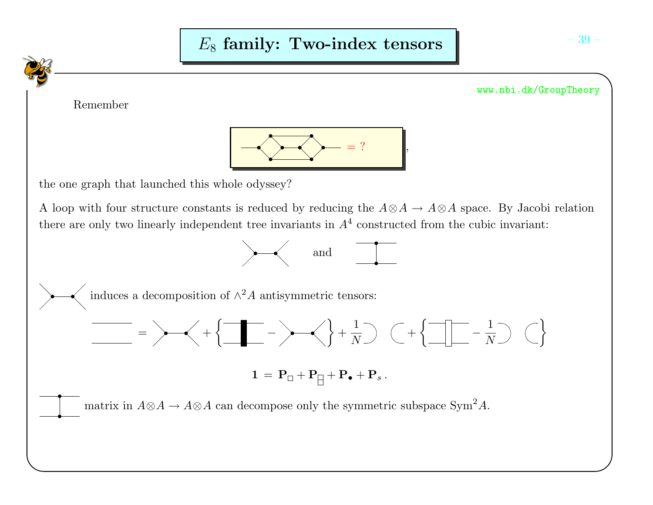Remember



the one graph that launched this whole odyssey?

A loop with four structure constants is reduced by reducing the  $A \otimes A \to A \otimes A$  space. By Jacobi relation there are only two linearly independent tree invariants in  $A<sup>4</sup>$  constructed from the cubic invariant:



www.nbi.dk/GroupTheory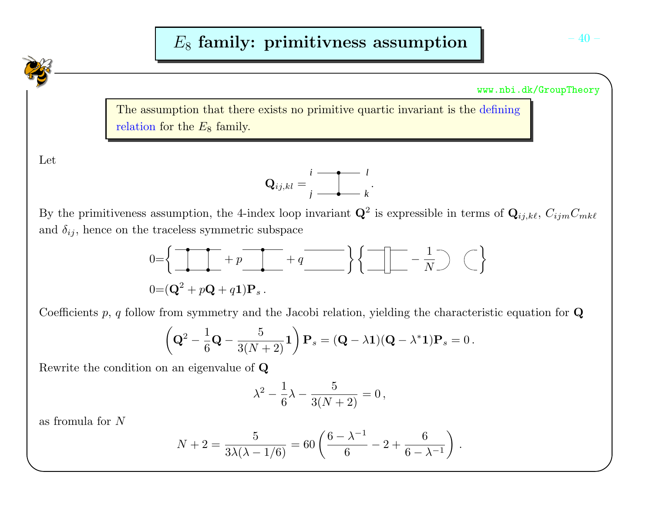The assumption that there exists no primitive quartic invariant is the definingrelation for the  $E_8$  family.

Let



By the primitiveness assumption, the 4-index loop invariant  $\mathbf{Q}^2$  is expressible in terms of  $\mathbf{Q}_{ij,k\ell}, C_{ijm}C_{mk\ell}$ and  $\delta_{ij}$ , hence on the traceless symmetric subspace

$$
0 = \left\{ \begin{array}{ccc} \overline{\phantom{aa}} & & \\ \hline & & \\ 0 = (\mathbf{Q}^2 + p\mathbf{Q} + q\mathbf{1})\mathbf{P}_s. \end{array} \right. + q \underline{\phantom{aa}} \left. \begin{array}{ccc} \overline{\phantom{aa}} & & \\ \hline & & \\ \hline & & \\ \hline \end{array} \right\} \left\{ \underline{\phantom{aa}} \begin{array}{ccc} \overline{\phantom{aa}} & & \\ \hline & & \\ \hline & & \\ \hline \end{array} \right. = \frac{1}{N} \begin{array}{ccc} \end{array} \right\}
$$

Coefficients  $p, q$  follow from symmetry and the Jacobi relation, yielding the characteristic equation for  ${\bf Q}$ 

$$
\left(\mathbf{Q}^2 - \frac{1}{6}\mathbf{Q} - \frac{5}{3(N+2)}\mathbf{1}\right)\mathbf{P}_s = (\mathbf{Q} - \lambda\mathbf{1})(\mathbf{Q} - \lambda^*\mathbf{1})\mathbf{P}_s = 0.
$$

Rewrite the condition on an eigenvalue of  $\bf Q$ 

$$
\lambda^2 - \frac{1}{6}\lambda - \frac{5}{3(N+2)} = 0,
$$

as fromula for <sup>N</sup>

$$
N+2 = \frac{5}{3\lambda(\lambda-1/6)} = 60\left(\frac{6-\lambda^{-1}}{6}-2+\frac{6}{6-\lambda^{-1}}\right).
$$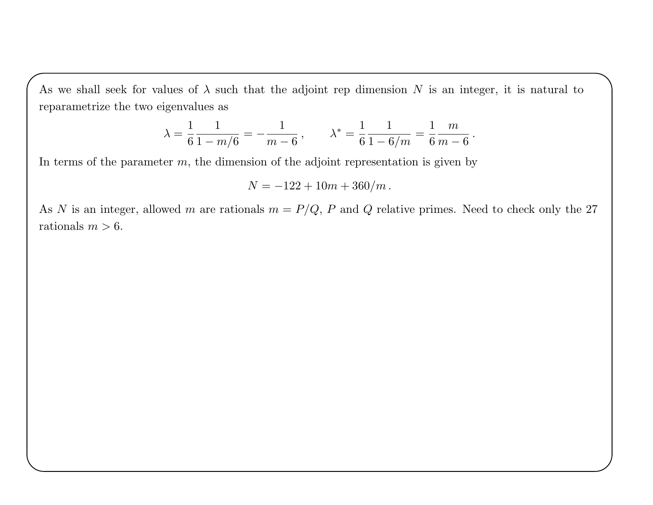As we shall seek for values of  $\lambda$  such that the adjoint rep dimension N is an integer, it is natural to reparametrize the two eigenvalues as

$$
\lambda = \frac{1}{6} \frac{1}{1 - m/6} = -\frac{1}{m - 6}, \qquad \lambda^* = \frac{1}{6} \frac{1}{1 - 6/m} = \frac{1}{6} \frac{m}{m - 6}.
$$

In terms of the parameter  $m$ , the dimension of the adjoint representation is given by

$$
N = -122 + 10m + 360/m.
$$

As N is an integer, allowed m are rationals  $m = P/Q$ , P and Q relative primes. Need to check only the 27 rationals  $m > 6$ .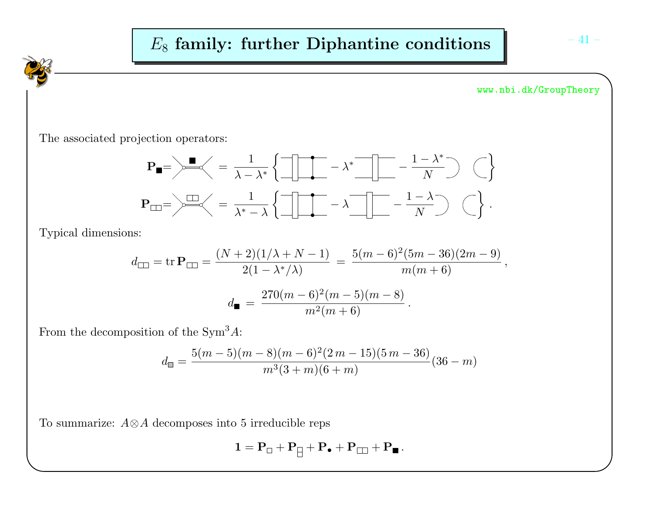

$$
d_{\square} = \text{tr } \mathbf{P}_{\square} = \frac{(N+2)(1/\lambda + N - 1)}{2(1 - \lambda^*/\lambda)} = \frac{5(m-6)^2(5m-36)(2m-9)}{m(m+6)},
$$

$$
d_{\blacksquare} = \frac{270(m-6)^2(m-5)(m-8)}{m^2(m+6)}.
$$

From the decomposition of the  $Sym^3 A$ :

$$
d_{\mathbb{I}} = \frac{5(m-5)(m-8)(m-6)^2(2m-15)(5m-36)}{m^3(3+m)(6+m)}(36-m)
$$

To summarize:  $A \otimes A$  decomposes into 5 irreducible reps

$$
1=P_{\Box}+P_{\hbox{\large $\to$}}+P_{\bullet}+P_{\Box\Box}+P_{\blacksquare}\,.
$$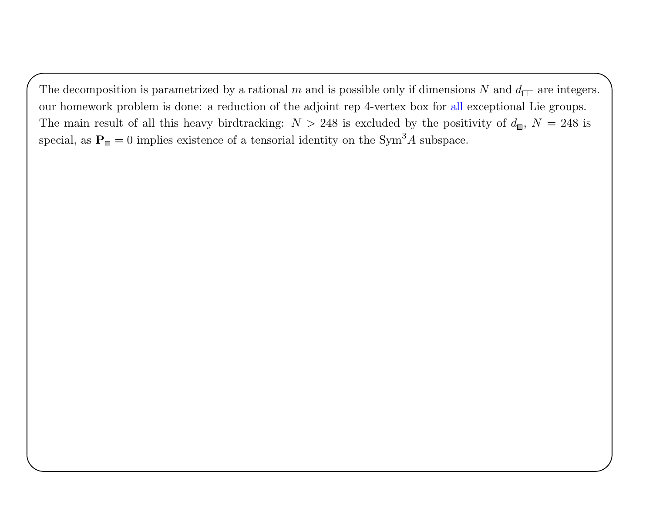The decomposition is parametrized by a rational m and is possible only if dimensions N and  $d_{\square}$  are integers. our homework problem is done: <sup>a</sup> reduction of the adjoint rep 4-vertex box for all exceptional Lie groups. The main result of all this heavy birdtracking:  $N > 248$  is excluded by the positivity of  $d_{\blacksquare}$ ,  $N = 248$  is special, as  $\mathbf{P}_{\blacksquare} = 0$  implies existence of a tensorial identity on the Sym<sup>3</sup>A subspace.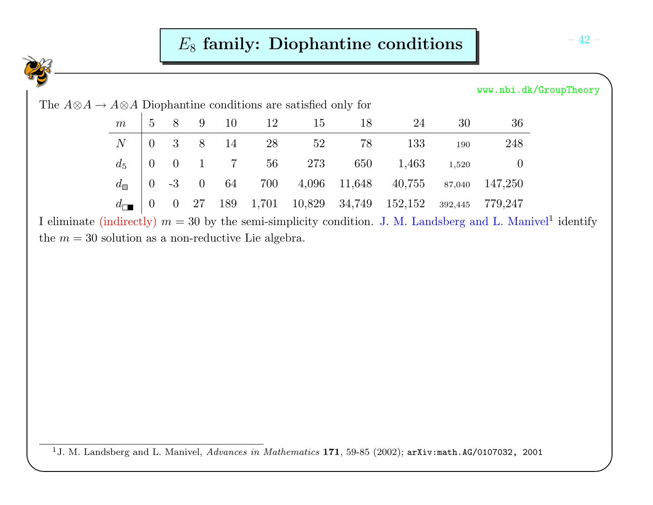# $E_8$  family: Diophantine conditions  $\begin{bmatrix} -42 & -42 \end{bmatrix}$

|                                                                                 |                 |                 |                |                |     |       |        |        |         |         |          | www.nbi.dk/GroupTheory |
|---------------------------------------------------------------------------------|-----------------|-----------------|----------------|----------------|-----|-------|--------|--------|---------|---------|----------|------------------------|
| The $A \otimes A \to A \otimes A$ Diophantine conditions are satisfied only for |                 |                 |                |                |     |       |        |        |         |         |          |                        |
|                                                                                 | $m_{\parallel}$ | $5\overline{)}$ | 8              | 9              | 10  | 12    | 15     | 18     | 24      | 30      | 36       |                        |
|                                                                                 | N               | $\Omega$        | 3              | 8              | 14  | 28    | 52     | 78     | 133     | 190     | 248      |                        |
|                                                                                 | $d_5$           | $\overline{0}$  | $\overline{0}$ |                |     | 56    | 273    | 650    | 1,463   | 1,520   | $\theta$ |                        |
|                                                                                 | $d_{\square}$   | $\overline{0}$  | $-3$           | $\overline{0}$ | 64  | 700   | 4,096  | 11,648 | 40,755  | 87,040  | 147,250  |                        |
|                                                                                 | $d_{\Box}$      | $\overline{0}$  | $\overline{0}$ | 27             | 189 | 1,701 | 10,829 | 34,749 | 152,152 | 392,445 | 779,247  |                        |

I eliminate (indirectly)  $m = 30$  by the semi-simplicity condition. J. M. Landsberg and L. Manivel<sup>1</sup> identify the  $m = 30$  solution as a non-reductive Lie algebra.

<sup>&</sup>lt;sup>1</sup>J. M. Landsberg and L. Manivel,  $Advances$  in  $Mathematics$  **171**, 59-85 (2002);  $\texttt{arXiv:math.AG/0107032}$ , 2001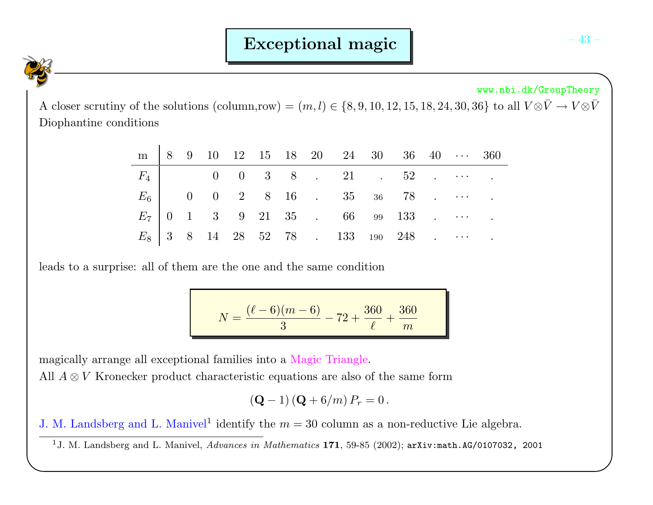A closer scrutiny of the solutions (column,row) =  $(m, l) \in \{8, 9, 10, 12, 15, 18, 24, 30, 36\}$  to all  $V \otimes \bar{V} \to V \otimes \bar{V}$ <br>Diophantine conditions

|  |  |  |  | $m$   8 9 10 12 15 18 20 24 30 36 40 $\cdots$ 360 |  |  |  |
|--|--|--|--|---------------------------------------------------|--|--|--|
|  |  |  |  | $F_4$ 0 0 3 8 . 21 . 52                           |  |  |  |
|  |  |  |  | $E_6$   0 0 2 8 16 . 35 36 78                     |  |  |  |
|  |  |  |  |                                                   |  |  |  |
|  |  |  |  | $E_8$   3 8 14 28 52 78 . 133 190 248             |  |  |  |

leads to <sup>a</sup> surprise: all of them are the one and the same condition

$$
N = \frac{(\ell - 6)(m - 6)}{3} - 72 + \frac{360}{\ell} + \frac{360}{m}
$$

magically arrange all exceptional families into <sup>a</sup> Magic Triangle.

All  $A \otimes V$  Kronecker product characteristic equations are also of the same form

$$
({\bf Q} - 1) ({\bf Q} + 6/m) P_r = 0.
$$

J. M. Landsberg and L. Manivel<sup>1</sup> identify the  $m = 30$  column as a non-reductive Lie algebra.

<sup>1</sup>J. M. Landsberg and L. Manivel,  $Advances$  in  $Mathematics$  **171**, 59-85 (2002);  $\texttt{arXiv:math.AG/0107032}$ , 2001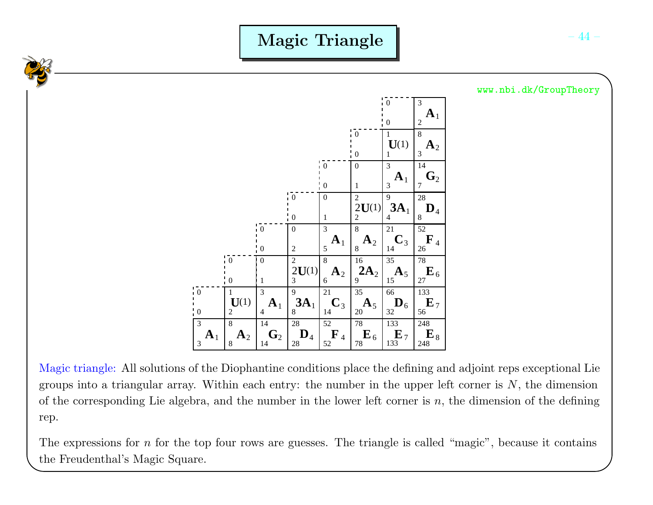Magic Triangle



Magic triangle: All solutions of the Diophantine conditions <sup>p</sup>lace the defining and adjoint reps exceptional Liegroups into a triangular array. Within each entry: the number in the upper left corner is  $N$ , the dimension of the corresponding Lie algebra, and the number in the lower left corner is  $n$ , the dimension of the defining rep.

The expressions for  $n$  for the top four rows are guesses. The triangle is called "magic", because it contains the Freudenthal's Magic Square.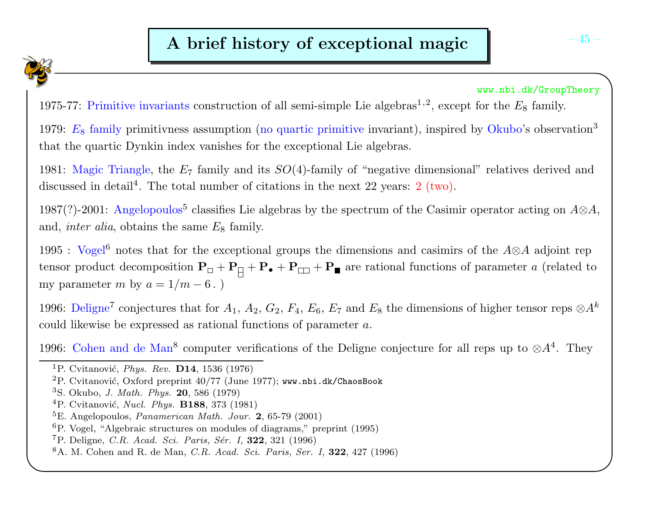1975-77: Primitive invariants construction of all semi-simple Lie algebras<sup>1,2</sup>, except for the  $E_8$  family.

1979:  $E_8$  family primitivness assumption (no quartic primitive invariant), inspired by Okubo's observation<sup>3</sup> that the quartic Dynkin index vanishes for the exceptional Lie algebras.

1981: Magic Triangle, the  $E_7$  family and its  $SO(4)$ -family of "negative dimensional" relatives derived and discussed in detail<sup>4</sup>. The total number of citations in the next 22 years:  $2 \text{ (two)}$ .

1987(?)-2001: Angelopoulos<sup>5</sup> classifies Lie algebras by the spectrum of the Casimir operator acting on  $A \otimes A$ , and, *inter alia*, obtains the same  $E_8$  family.

1995 : Vogel<sup>6</sup> notes that for the exceptional groups the dimensions and casimirs of the A⊗A adjoint rep tensor product decomposition  $P_{\Box} + P_{\Box} + P_{\Box} + P_{\Box}$  are rational functions of parameter a (related to my parameter m by  $a = 1/m - 6$ .)

1996: Deligne<sup>7</sup> conjectures that for  $A_1$ ,  $A_2$ ,  $G_2$ ,  $F_4$ ,  $E_6$ ,  $E_7$  and  $E_8$  the dimensions of higher tensor reps  $\otimes A^k$ could likewise be expressed as rational functions of parameter  $a$ .

1996: Cohen and de Man<sup>8</sup> computer verifications of the Deligne conjecture for all reps up to  $\otimes A^4$ . They

 ${}^{4}$ P. Cvitanović, *Nucl. Phys.* **B188**, 373 (1981)

 ${}^{1}$ P. Cvitanović, *Phys. Rev.* **D14**, 1536 (1976)

 $\rm ^2P.$  Cvitanović, Oxford preprint 40/77 (June 1977); www.nbi.dk/ChaosBook

<sup>&</sup>lt;sup>3</sup>S. Okubo, *J. Math. Phys.* **20**, 586 (1979)

 ${}^{5}$ E. Angelopoulos, *Panamerican Math. Jour.* **2**, 65-79 (2001)

 ${}^{6}P$ . Vogel, "Algebraic structures on modules of diagrams," preprint (1995)

 $^{7}$ P. Deligne, *C.R. Acad. Sci. Paris, Sér. I*, **322**, 321 (1996)

 $8A.$  M. Cohen and R. de Man, *C.R. Acad. Sci. Paris, Ser. I*, **322**, 427 (1996)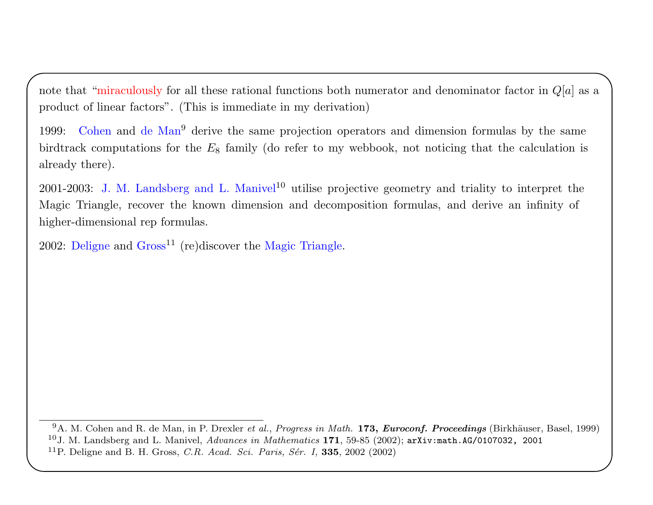note that "miraculously for all these rational functions both numerator and denominator factor in  $Q[a]$  as a product of linear factors". (This is immediate in my derivation)

1999: Cohen and de Man<sup>9</sup> derive the same projection operators and dimension formulas by the same birdtrack computations for the  $E_8$  family (do refer to my webbook, not noticing that the calculation is already there).

2001-2003: J. M. Landsberg and L. Manivel<sup>10</sup> utilise projective geometry and triality to interpret the Magic Triangle, recover the known dimension and decomposition formulas, and derive an infinity ofhigher-dimensional rep formulas.

 $2002$ : Deligne and  $Gross<sup>11</sup>$  (re)discover the Magic Triangle.

 $^{9}$ A. M. Cohen and R. de Man, in P. Drexler *et al., Progress in Math.* **173,** *Euroconf. Proceedings* (Birkhäuser, Basel, 1999)  $^{10}$ J. M. Landsberg and L. Manivel,  $Advances$  in  $Mathematics$  171, 59-85 (2002); arXiv:math.AG/0107032, 2001 <sup>11</sup>P. Deligne and B. H. Gross, *C.R. Acad. Sci. Paris, Sér. I*, **335**, 2002 (2002)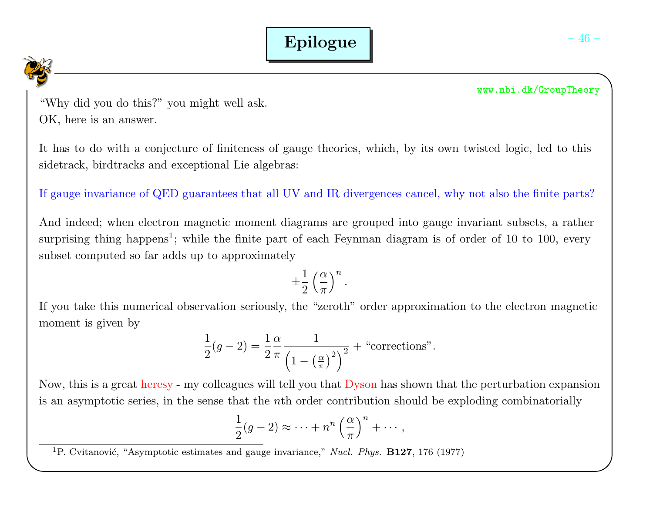"Why did you do this?" you might well ask.OK, here is an answer.

It has to do with <sup>a</sup> conjecture of finiteness of gauge theories, which, by its own twisted logic, led to thissidetrack, birdtracks and exceptional Lie algebras:

If gauge invariance of QED guarantees that all UV and IR divergences cancel, why not also the finite parts?

And indeed; when electron magnetic moment diagrams are grouped into gauge invariant subsets, <sup>a</sup> rathersurprising thing happens<sup>1</sup>; while the finite part of each Feynman diagram is of order of 10 to 100, every subset computed so far adds up to approximately

$$
\pm\frac{1}{2}\left(\frac{\alpha}{\pi}\right)^n.
$$

If you take this numerical observation seriously, the "zeroth" order approximation to the electron magneticmoment is given by

$$
\frac{1}{2}(g-2) = \frac{1}{2}\frac{\alpha}{\pi} \frac{1}{\left(1 - \left(\frac{\alpha}{\pi}\right)^2\right)^2} + \text{``corrections''}.
$$

Now, this is a great heresy - my colleagues will tell you that  $\overline{\mathrm{Dyson}}$  has shown that the perturbation expansion is an asymptotic series, in the sense that the *n*th order contribution should be exploding combinatorially

$$
\frac{1}{2}(g-2) \approx \cdots + n^n \left(\frac{\alpha}{\pi}\right)^n + \cdots,
$$

<sup>1</sup>P. Cvitanović, "Asymptotic estimates and gauge invariance," *Nucl. Phys.* **B127**, 176 (1977)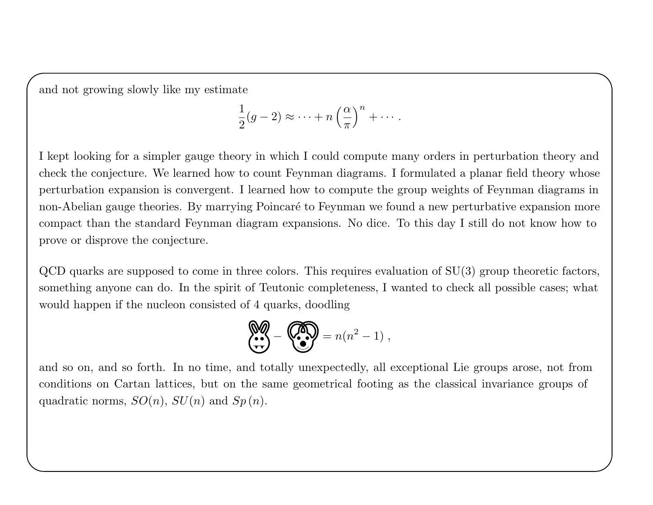and not growing slowly like my estimate

$$
\frac{1}{2}(g-2) \approx \cdots + n\left(\frac{\alpha}{\pi}\right)^n + \cdots.
$$

I kept looking for <sup>a</sup> simpler gauge theory in which I could compute many orders in perturbation theory andcheck the conjecture. We learned how to count Feynman diagrams. I formulated <sup>a</sup> <sup>p</sup>lanar field theory whoseperturbation expansion is convergent. I learned how to compute the group weights of Feynman diagrams innon-Abelian gauge theories. By marrying Poincaré to Feynman we found a new perturbative expansion more compact than the standard Feynman diagram expansions. No dice. To this day I still do not know how toprove or disprove the conjecture.

QCD quarks are supposed to come in three colors. This requires evaluation of SU(3) group theoretic factors,something anyone can do. In the spirit of Teutonic completeness, I wanted to check all possible cases; whatwould happen if the nucleon consisted of 4 quarks, doodling

$$
\begin{pmatrix} \bullet & \bullet & \bullet \\ \bullet & \bullet & \bullet \end{pmatrix} = n(n^2 - 1) ,
$$

and so on, and so forth. In no time, and totally unexpectedly, all exceptional Lie groups arose, not from conditions on Cartan lattices, but on the same geometrical footing as the classical invariance groups ofquadratic norms,  $SO(n)$ ,  $SU(n)$  and  $Sp(n)$ .